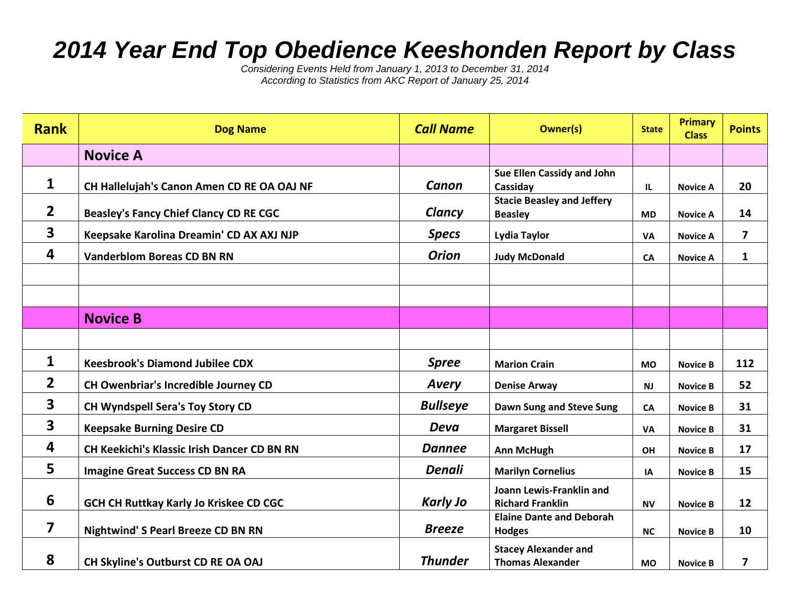## *2014 Year End Top Obedience Keeshonden Report by Class*

*Considering Events Held from January 1, 2013 to December 31, 2014 According to Statistics from AKC Report of January 25, 2014*

| <b>Rank</b>             | <b>Dog Name</b>                                    | <b>Call Name</b> | <b>Owner(s)</b>                                        | <b>State</b> | <b>Primary</b><br><b>Class</b> | <b>Points</b>  |
|-------------------------|----------------------------------------------------|------------------|--------------------------------------------------------|--------------|--------------------------------|----------------|
|                         | <b>Novice A</b>                                    |                  |                                                        |              |                                |                |
| 1                       | CH Hallelujah's Canon Amen CD RE OA OAJ NF         | Canon            | Sue Ellen Cassidy and John<br>Cassiday                 | IL           | <b>Novice A</b>                | 20             |
| $\overline{2}$          | <b>Beasley's Fancy Chief Clancy CD RE CGC</b>      | Clancy           | <b>Stacie Beasley and Jeffery</b><br><b>Beasley</b>    | <b>MD</b>    | <b>Novice A</b>                | 14             |
| $\overline{\mathbf{3}}$ | Keepsake Karolina Dreamin' CD AX AXJ NJP           | <b>Specs</b>     | <b>Lydia Taylor</b>                                    | <b>VA</b>    | <b>Novice A</b>                | $\overline{ }$ |
| 4                       | <b>Vanderblom Boreas CD BN RN</b>                  | <b>Orion</b>     | <b>Judy McDonald</b>                                   | <b>CA</b>    | <b>Novice A</b>                | $\mathbf{1}$   |
|                         |                                                    |                  |                                                        |              |                                |                |
|                         |                                                    |                  |                                                        |              |                                |                |
|                         | <b>Novice B</b>                                    |                  |                                                        |              |                                |                |
|                         |                                                    |                  |                                                        |              |                                |                |
| 1                       | <b>Keesbrook's Diamond Jubilee CDX</b>             | <b>Spree</b>     | <b>Marion Crain</b>                                    | <b>MO</b>    | <b>Novice B</b>                | 112            |
| $\overline{2}$          | CH Owenbriar's Incredible Journey CD               | <b>Avery</b>     | <b>Denise Arway</b>                                    | <b>NJ</b>    | <b>Novice B</b>                | 52             |
| $\overline{\mathbf{3}}$ | CH Wyndspell Sera's Toy Story CD                   | <b>Bullseye</b>  | Dawn Sung and Steve Sung                               | CA           | <b>Novice B</b>                | 31             |
| $\overline{\mathbf{3}}$ | <b>Keepsake Burning Desire CD</b>                  | <b>Deva</b>      | <b>Margaret Bissell</b>                                | <b>VA</b>    | <b>Novice B</b>                | 31             |
| 4                       | <b>CH Keekichi's Klassic Irish Dancer CD BN RN</b> | <b>Dannee</b>    | <b>Ann McHugh</b>                                      | <b>OH</b>    | <b>Novice B</b>                | 17             |
| 5                       | <b>Imagine Great Success CD BN RA</b>              | <b>Denali</b>    | <b>Marilyn Cornelius</b>                               | IA           | <b>Novice B</b>                | 15             |
| 6                       | <b>GCH CH Ruttkay Karly Jo Kriskee CD CGC</b>      | <b>Karly Jo</b>  | Joann Lewis-Franklin and<br><b>Richard Franklin</b>    | <b>NV</b>    | <b>Novice B</b>                | 12             |
| 7                       | <b>Nightwind' S Pearl Breeze CD BN RN</b>          | <b>Breeze</b>    | <b>Elaine Dante and Deborah</b><br><b>Hodges</b>       | <b>NC</b>    | <b>Novice B</b>                | 10             |
| 8                       | CH Skyline's Outburst CD RE OA OAJ                 | <b>Thunder</b>   | <b>Stacey Alexander and</b><br><b>Thomas Alexander</b> | <b>MO</b>    | <b>Novice B</b>                | $\overline{ }$ |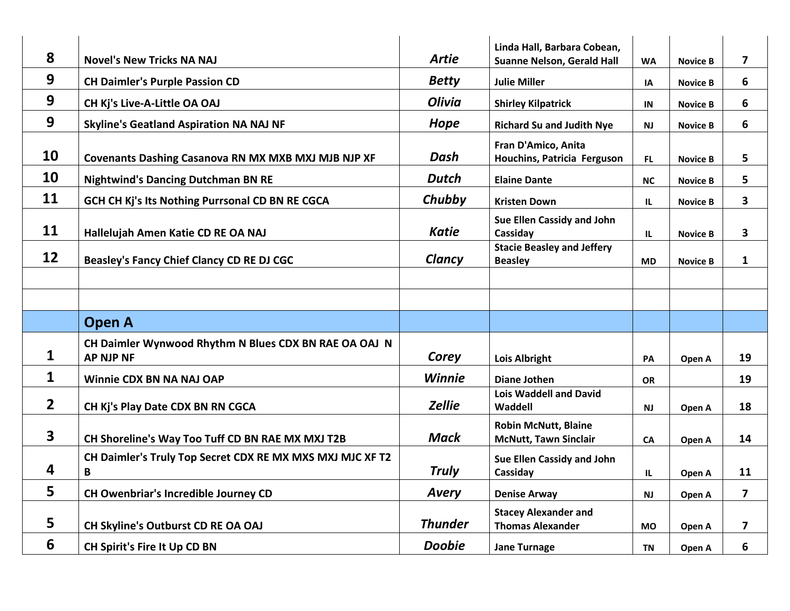| 8                       |                                                                           |                | Linda Hall, Barbara Cobean,                                 |           |                 |                         |
|-------------------------|---------------------------------------------------------------------------|----------------|-------------------------------------------------------------|-----------|-----------------|-------------------------|
|                         | <b>Novel's New Tricks NA NAJ</b>                                          | <b>Artie</b>   | <b>Suanne Nelson, Gerald Hall</b>                           | <b>WA</b> | <b>Novice B</b> | 7                       |
| 9                       | <b>CH Daimler's Purple Passion CD</b>                                     | <b>Betty</b>   | <b>Julie Miller</b>                                         | IA        | <b>Novice B</b> | 6                       |
| 9                       | CH Kj's Live-A-Little OA OAJ                                              | <b>Olivia</b>  | <b>Shirley Kilpatrick</b>                                   | IN        | <b>Novice B</b> | 6                       |
| 9                       | <b>Skyline's Geatland Aspiration NA NAJ NF</b>                            | <b>Hope</b>    | <b>Richard Su and Judith Nye</b>                            | <b>NJ</b> | <b>Novice B</b> | 6                       |
| 10                      | <b>Covenants Dashing Casanova RN MX MXB MXJ MJB NJP XF</b>                | Dash           | Fran D'Amico, Anita<br>Houchins, Patricia Ferguson          | FL.       | <b>Novice B</b> | 5                       |
| 10                      | <b>Nightwind's Dancing Dutchman BN RE</b>                                 | <b>Dutch</b>   | <b>Elaine Dante</b>                                         | <b>NC</b> | <b>Novice B</b> | 5                       |
| 11                      | GCH CH Kj's Its Nothing Purrsonal CD BN RE CGCA                           | Chubby         | <b>Kristen Down</b>                                         | IL.       | <b>Novice B</b> | 3                       |
| 11                      | Hallelujah Amen Katie CD RE OA NAJ                                        | <b>Katie</b>   | Sue Ellen Cassidy and John<br>Cassiday                      | IL.       | <b>Novice B</b> | 3                       |
| 12                      | Beasley's Fancy Chief Clancy CD RE DJ CGC                                 | Clancy         | <b>Stacie Beasley and Jeffery</b><br><b>Beasley</b>         | <b>MD</b> | <b>Novice B</b> | $\mathbf 1$             |
|                         |                                                                           |                |                                                             |           |                 |                         |
|                         | <b>Open A</b>                                                             |                |                                                             |           |                 |                         |
| $\mathbf 1$             | CH Daimler Wynwood Rhythm N Blues CDX BN RAE OA OAJ N<br><b>AP NJP NF</b> | Corey          | <b>Lois Albright</b>                                        | PA        | Open A          | 19                      |
| $\mathbf{1}$            | Winnie CDX BN NA NAJ OAP                                                  | <b>Winnie</b>  | <b>Diane Jothen</b>                                         | <b>OR</b> |                 | 19                      |
| $\overline{2}$          | CH Kj's Play Date CDX BN RN CGCA                                          | <b>Zellie</b>  | <b>Lois Waddell and David</b><br>Waddell                    | <b>NJ</b> | Open A          | 18                      |
| $\overline{\mathbf{3}}$ | CH Shoreline's Way Too Tuff CD BN RAE MX MXJ T2B                          | <b>Mack</b>    | <b>Robin McNutt, Blaine</b><br><b>McNutt, Tawn Sinclair</b> | CA        | Open A          | 14                      |
| 4                       | CH Daimler's Truly Top Secret CDX RE MX MXS MXJ MJC XF T2<br>B            | <b>Truly</b>   | Sue Ellen Cassidy and John<br>Cassiday                      | IL        | Open A          | 11                      |
| 5                       | CH Owenbriar's Incredible Journey CD                                      | <b>Avery</b>   | <b>Denise Arway</b>                                         | <b>NJ</b> | Open A          | $\overline{\mathbf{z}}$ |
| 5                       |                                                                           | <b>Thunder</b> | <b>Stacey Alexander and</b><br><b>Thomas Alexander</b>      | <b>MO</b> |                 | $\overline{\mathbf{z}}$ |
|                         | CH Skyline's Outburst CD RE OA OAJ                                        |                |                                                             |           | Open A          |                         |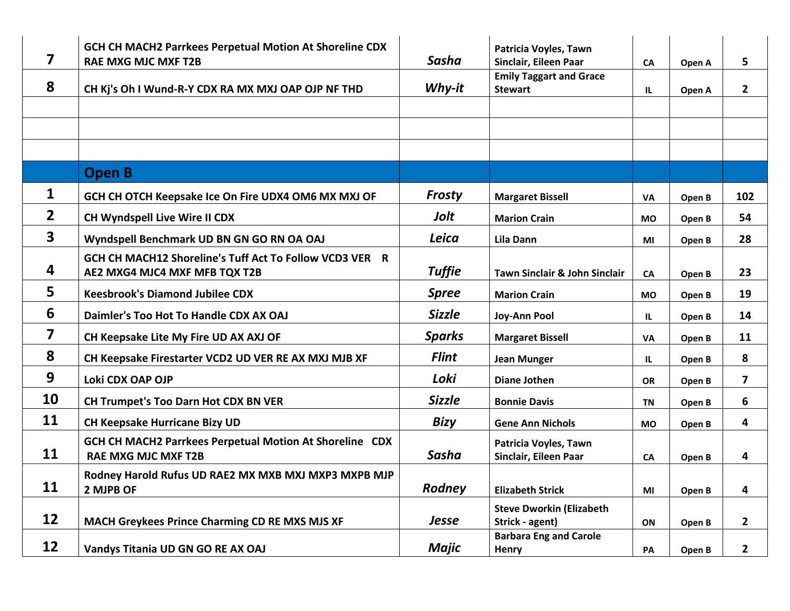| 7                       | GCH CH MACH2 Parrkees Perpetual Motion At Shoreline CDX<br><b>RAE MXG MJC MXF T2B</b>    | <b>Sasha</b>  | Patricia Voyles, Tawn<br>Sinclair, Eileen Paar     | <b>CA</b> | Open A | 5                       |
|-------------------------|------------------------------------------------------------------------------------------|---------------|----------------------------------------------------|-----------|--------|-------------------------|
| 8                       | CH Kj's Oh I Wund-R-Y CDX RA MX MXJ OAP OJP NF THD                                       | Why-it        | <b>Emily Taggart and Grace</b><br><b>Stewart</b>   | IL        | Open A | $\mathbf{2}$            |
|                         |                                                                                          |               |                                                    |           |        |                         |
|                         |                                                                                          |               |                                                    |           |        |                         |
|                         |                                                                                          |               |                                                    |           |        |                         |
|                         | <b>Open B</b>                                                                            |               |                                                    |           |        |                         |
| $\mathbf{1}$            | GCH CH OTCH Keepsake Ice On Fire UDX4 OM6 MX MXJ OF                                      | Frosty        | <b>Margaret Bissell</b>                            | <b>VA</b> | Open B | 102                     |
| $\overline{2}$          | CH Wyndspell Live Wire II CDX                                                            | Jolt          | <b>Marion Crain</b>                                | <b>MO</b> | Open B | 54                      |
| 3                       | Wyndspell Benchmark UD BN GN GO RN OA OAJ                                                | Leica         | Lila Dann                                          | ΜI        | Open B | 28                      |
| 4                       | GCH CH MACH12 Shoreline's Tuff Act To Follow VCD3 VER R<br>AE2 MXG4 MJC4 MXF MFB TQX T2B | <b>Tuffie</b> | <b>Tawn Sinclair &amp; John Sinclair</b>           | CA        | Open B | 23                      |
| 5                       | <b>Keesbrook's Diamond Jubilee CDX</b>                                                   | <b>Spree</b>  | <b>Marion Crain</b>                                | <b>MO</b> | Open B | 19                      |
| 6                       | Daimler's Too Hot To Handle CDX AX OAJ                                                   | <b>Sizzle</b> | <b>Joy-Ann Pool</b>                                | <b>IL</b> | Open B | 14                      |
| $\overline{\mathbf{z}}$ | CH Keepsake Lite My Fire UD AX AXJ OF                                                    | <b>Sparks</b> | <b>Margaret Bissell</b>                            | VA        | Open B | 11                      |
| 8                       | CH Keepsake Firestarter VCD2 UD VER RE AX MXJ MJB XF                                     | <b>Flint</b>  | <b>Jean Munger</b>                                 | IL.       | Open B | 8                       |
| 9                       | Loki CDX OAP OJP                                                                         | Loki          | <b>Diane Jothen</b>                                | <b>OR</b> | Open B | $\overline{\mathbf{z}}$ |
| 10                      | <b>CH Trumpet's Too Darn Hot CDX BN VER</b>                                              | <b>Sizzle</b> | <b>Bonnie Davis</b>                                | <b>TN</b> | Open B | 6                       |
| 11                      | <b>CH Keepsake Hurricane Bizy UD</b>                                                     | <b>Bizy</b>   | <b>Gene Ann Nichols</b>                            | <b>MO</b> | Open B | 4                       |
| 11                      | GCH CH MACH2 Parrkees Perpetual Motion At Shoreline CDX<br><b>RAE MXG MJC MXF T2B</b>    | Sasha         | Patricia Voyles, Tawn<br>Sinclair, Eileen Paar     | CA        | Open B | 4                       |
| 11                      | Rodney Harold Rufus UD RAE2 MX MXB MXJ MXP3 MXPB MJP<br>2 MJPB OF                        | <b>Rodney</b> | <b>Elizabeth Strick</b>                            | MI        | Open B | 4                       |
| 12                      | MACH Greykees Prince Charming CD RE MXS MJS XF                                           | <b>Jesse</b>  | <b>Steve Dworkin (Elizabeth</b><br>Strick - agent) | ON        | Open B | $\mathbf{2}$            |
| 12                      | Vandys Titania UD GN GO RE AX OAJ                                                        | <b>Majic</b>  | <b>Barbara Eng and Carole</b><br>Henry             | PA        | Open B | $\overline{2}$          |